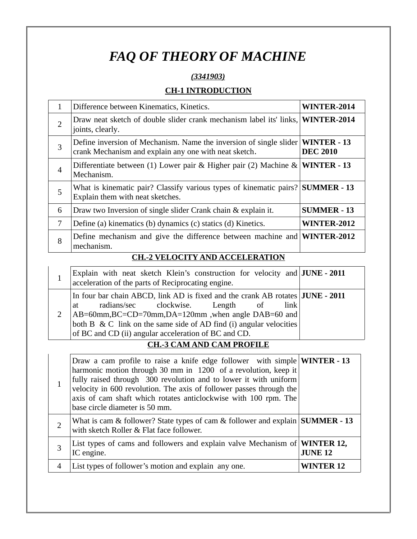# *FAQ OF THEORY OF MACHINE*

## *(3341903)*

## **CH-1 INTRODUCTION**

| 1              | Difference between Kinematics, Kinetics.                                                                                                         | WINTER-2014        |
|----------------|--------------------------------------------------------------------------------------------------------------------------------------------------|--------------------|
| $\overline{2}$ | Draw neat sketch of double slider crank mechanism label its' links, <b>WINTER-2014</b><br>joints, clearly.                                       |                    |
| 3              | Define inversion of Mechanism. Name the inversion of single slider $\text{WINTER}$ - 13<br>crank Mechanism and explain any one with neat sketch. | <b>DEC 2010</b>    |
| $\overline{4}$ | Differentiate between (1) Lower pair & Higher pair (2) Machine & <b>WINTER - 13</b><br>Mechanism.                                                |                    |
| 5              | What is kinematic pair? Classify various types of kinematic pairs? SUMMER - 13<br>Explain them with neat sketches.                               |                    |
| 6              | Draw two Inversion of single slider Crank chain & explain it.                                                                                    | <b>SUMMER - 13</b> |
| 7              | Define (a) kinematics (b) dynamics (c) statics (d) Kinetics.                                                                                     | <b>WINTER-2012</b> |
| 8              | Define mechanism and give the difference between machine and <b>WINTER-2012</b><br>mechanism.                                                    |                    |
|                | <b>A UEL OCUTY AND ACCELED ATION</b><br>nтт.                                                                                                     |                    |

## **CH.-2 VELOCITY AND ACCELERATION**

| Explain with neat sketch Klein's construction for velocity and $JUNE - 2011$<br>acceleration of the parts of Reciprocating engine.                                                                                                                                     |                                  |  |         |  |
|------------------------------------------------------------------------------------------------------------------------------------------------------------------------------------------------------------------------------------------------------------------------|----------------------------------|--|---------|--|
| In four bar chain ABCD, link AD is fixed and the crank AB rotates JUNE - 2011<br>at<br>AB=60mm,BC=CD=70mm,DA=120mm,when angle DAB=60 and<br>both B & C link on the same side of AD find (i) angular velocities<br>of BC and CD (ii) angular acceleration of BC and CD. | radians/sec clockwise. Length of |  | $\ln k$ |  |

# **CH.-3 CAM AND CAM PROFILE**

|   | Draw a cam profile to raise a knife edge follower with simple <b>WINTER - 13</b><br>harmonic motion through 30 mm in 1200 of a revolution, keep it<br>fully raised through 300 revolution and to lower it with uniform<br>velocity in 600 revolution. The axis of follower passes through the<br>axis of cam shaft which rotates anticlockwise with 100 rpm. The<br>base circle diameter is 50 mm. |                      |
|---|----------------------------------------------------------------------------------------------------------------------------------------------------------------------------------------------------------------------------------------------------------------------------------------------------------------------------------------------------------------------------------------------------|----------------------|
|   | What is cam & follower? State types of cam & follower and explain SUMMER - 13<br>with sketch Roller & Flat face follower.                                                                                                                                                                                                                                                                          |                      |
|   | List types of cams and followers and explain valve Mechanism of <b>WINTER 12,</b><br>IC engine.                                                                                                                                                                                                                                                                                                    | <b>JUNE 12</b>       |
| 4 | List types of follower's motion and explain any one.                                                                                                                                                                                                                                                                                                                                               | WINTER <sub>12</sub> |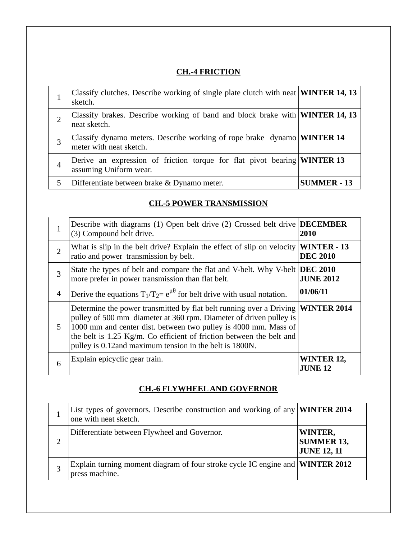# **CH.-4 FRICTION**

|                | Classify clutches. Describe working of single plate clutch with neat <b>WINTER 14, 13</b><br>sketch.      |                    |
|----------------|-----------------------------------------------------------------------------------------------------------|--------------------|
| $\overline{2}$ | Classify brakes. Describe working of band and block brake with <b>WINTER 14, 13</b><br>neat sketch.       |                    |
| 3              | Classify dynamo meters. Describe working of rope brake dynamo <b>WINTER 14</b><br>meter with neat sketch. |                    |
| 4              | Derive an expression of friction torque for flat pivot bearing <b>WINTER 13</b><br>assuming Uniform wear. |                    |
| 5              | Differentiate between brake & Dynamo meter.                                                               | <b>SUMMER - 13</b> |

# **CH.-5 POWER TRANSMISSION**

| 1              | Describe with diagrams (1) Open belt drive (2) Crossed belt drive<br>(3) Compound belt drive.                                                                                                                                                                                                                                                   | <b>DECEMBER</b><br>2010               |
|----------------|-------------------------------------------------------------------------------------------------------------------------------------------------------------------------------------------------------------------------------------------------------------------------------------------------------------------------------------------------|---------------------------------------|
| $\overline{2}$ | What is slip in the belt drive? Explain the effect of slip on velocity<br>ratio and power transmission by belt.                                                                                                                                                                                                                                 | <b>WINTER - 13</b><br><b>DEC 2010</b> |
| 3              | State the types of belt and compare the flat and V-belt. Why V-belt<br>more prefer in power transmission than flat belt.                                                                                                                                                                                                                        | <b>DEC 2010</b><br><b>JUNE 2012</b>   |
| $\overline{4}$ | Derive the equations $T_1/T_2 = e^{\mu \theta}$ for belt drive with usual notation.                                                                                                                                                                                                                                                             | 01/06/11                              |
| 5.             | Determine the power transmitted by flat belt running over a Driving<br>pulley of 500 mm diameter at 360 rpm. Diameter of driven pulley is<br>1000 mm and center dist. between two pulley is 4000 mm. Mass of<br>the belt is 1.25 Kg/m. Co efficient of friction between the belt and<br>pulley is 0.12and maximum tension in the belt is 1800N. | <b>WINTER 2014</b>                    |
| 6              | Explain epicyclic gear train.                                                                                                                                                                                                                                                                                                                   | <b>WINTER 12,</b><br><b>JUNE 12</b>   |

#### **CH.-6 FLYWHEEL AND GOVERNOR**

| List types of governors. Describe construction and working of any <b>WINTER 2014</b><br>one with neat sketch. |                                                    |
|---------------------------------------------------------------------------------------------------------------|----------------------------------------------------|
| Differentiate between Flywheel and Governor.                                                                  | WINTER,<br><b>SUMMER 13,</b><br><b>JUNE 12, 11</b> |
| Explain turning moment diagram of four stroke cycle IC engine and <b>WINTER 2012</b><br>press machine.        |                                                    |